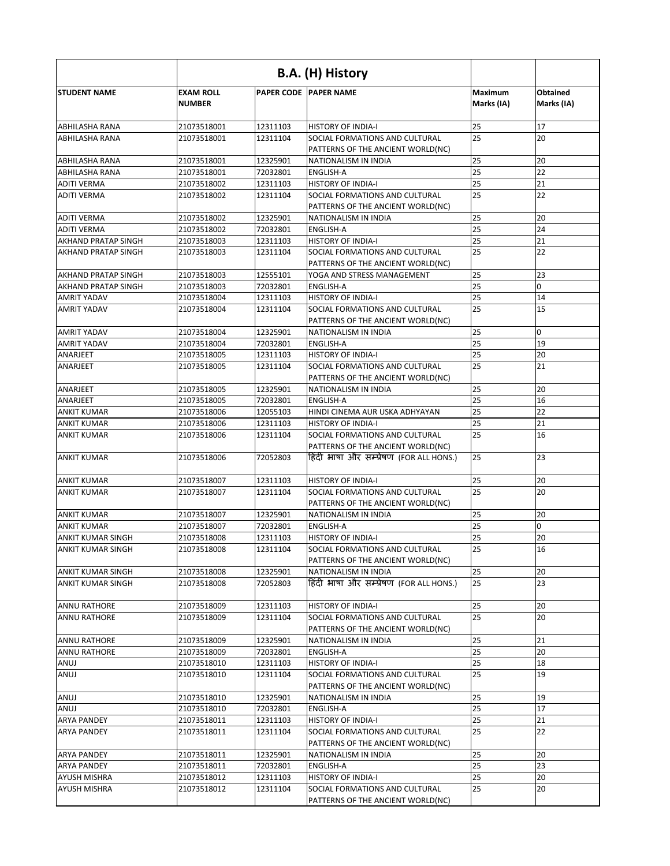|                                           |                                   | B.A. (H) History     |                                                                              |                              |                               |
|-------------------------------------------|-----------------------------------|----------------------|------------------------------------------------------------------------------|------------------------------|-------------------------------|
| <b>STUDENT NAME</b>                       | <b>EXAM ROLL</b><br><b>NUMBER</b> |                      | <b>PAPER CODE PAPER NAME</b>                                                 | <b>Maximum</b><br>Marks (IA) | <b>Obtained</b><br>Marks (IA) |
| <b>ABHILASHA RANA</b>                     | 21073518001                       | 12311103             | <b>HISTORY OF INDIA-I</b>                                                    | 25                           | 17                            |
| ABHILASHA RANA                            | 21073518001                       | 12311104             | SOCIAL FORMATIONS AND CULTURAL                                               | 25                           | 20                            |
|                                           |                                   |                      | PATTERNS OF THE ANCIENT WORLD(NC)                                            |                              |                               |
| <b>ABHILASHA RANA</b>                     | 21073518001                       | 12325901             | NATIONALISM IN INDIA                                                         | 25                           | 20                            |
| <b>ABHILASHA RANA</b>                     | 21073518001                       | 72032801             | <b>ENGLISH-A</b>                                                             | 25                           | 22                            |
| <b>ADITI VERMA</b>                        | 21073518002                       | 12311103             | <b>HISTORY OF INDIA-I</b>                                                    | 25                           | 21                            |
| <b>ADITI VERMA</b>                        | 21073518002                       | 12311104             | SOCIAL FORMATIONS AND CULTURAL<br>PATTERNS OF THE ANCIENT WORLD(NC)          | 25                           | 22                            |
| <b>ADITI VERMA</b>                        | 21073518002                       | 12325901             | NATIONALISM IN INDIA                                                         | 25                           | 20                            |
| <b>ADITI VERMA</b>                        | 21073518002                       | 72032801             | <b>ENGLISH-A</b>                                                             | 25                           | 24                            |
| <b>AKHAND PRATAP SINGH</b>                | 21073518003                       | 12311103             | <b>HISTORY OF INDIA-I</b>                                                    | 25                           | 21                            |
| <b>AKHAND PRATAP SINGH</b>                | 21073518003                       | 12311104             | SOCIAL FORMATIONS AND CULTURAL<br>PATTERNS OF THE ANCIENT WORLD(NC)          | 25                           | 22                            |
| <b>AKHAND PRATAP SINGH</b>                | 21073518003                       | 12555101             | YOGA AND STRESS MANAGEMENT                                                   | 25                           | 23                            |
| <b>AKHAND PRATAP SINGH</b>                | 21073518003                       | 72032801             | <b>ENGLISH-A</b>                                                             | 25                           | 0                             |
| <b>AMRIT YADAV</b>                        | 21073518004                       | 12311103             | <b>HISTORY OF INDIA-I</b>                                                    | 25                           | 14                            |
| <b>AMRIT YADAV</b>                        | 21073518004                       | 12311104             | SOCIAL FORMATIONS AND CULTURAL                                               | 25                           | 15                            |
|                                           |                                   |                      | PATTERNS OF THE ANCIENT WORLD(NC)                                            |                              |                               |
| <b>AMRIT YADAV</b>                        | 21073518004                       | 12325901             | NATIONALISM IN INDIA                                                         | 25                           | 0                             |
| <b>AMRIT YADAV</b>                        | 21073518004                       | 72032801             | <b>ENGLISH-A</b>                                                             | 25                           | 19                            |
| ANARJEET<br>ANARJEET                      | 21073518005<br>21073518005        | 12311103<br>12311104 | <b>HISTORY OF INDIA-I</b><br>SOCIAL FORMATIONS AND CULTURAL                  | 25<br>25                     | 20<br>21                      |
|                                           |                                   |                      | PATTERNS OF THE ANCIENT WORLD(NC)                                            |                              |                               |
| ANARJEET                                  | 21073518005                       | 12325901             | NATIONALISM IN INDIA                                                         | 25                           | 20                            |
| ANARJEET                                  | 21073518005                       | 72032801             | <b>ENGLISH-A</b>                                                             | 25                           | 16                            |
| <b>ANKIT KUMAR</b>                        | 21073518006                       | 12055103             | HINDI CINEMA AUR USKA ADHYAYAN                                               | 25                           | 22                            |
| <b>ANKIT KUMAR</b>                        | 21073518006                       | 12311103             | <b>HISTORY OF INDIA-I</b>                                                    | 25                           | 21                            |
| <b>ANKIT KUMAR</b>                        | 21073518006                       | 12311104             | SOCIAL FORMATIONS AND CULTURAL                                               | 25                           | 16                            |
| <b>ANKIT KUMAR</b>                        | 21073518006                       | 72052803             | PATTERNS OF THE ANCIENT WORLD(NC)<br>हिंदी भाषा और सम्प्रेषण (FOR ALL HONS.) | 25                           | 23                            |
|                                           | 21073518007                       | 12311103             | <b>HISTORY OF INDIA-I</b>                                                    | 25                           | 20                            |
| <b>JANKIT KUMAR</b><br><b>ANKIT KUMAR</b> | 21073518007                       | 12311104             | SOCIAL FORMATIONS AND CULTURAL                                               | 25                           | 20                            |
|                                           |                                   |                      | PATTERNS OF THE ANCIENT WORLD(NC)                                            |                              |                               |
| <b>ANKIT KUMAR</b>                        | 21073518007                       | 12325901             | NATIONALISM IN INDIA                                                         | 25                           | 20                            |
| <b>ANKIT KUMAR</b>                        | 21073518007                       | 72032801             | <b>ENGLISH-A</b>                                                             | 25                           | $\mathbf 0$                   |
| <b>ANKIT KUMAR SINGH</b>                  | 21073518008                       | 12311103             | <b>HISTORY OF INDIA-I</b>                                                    | 25                           | 20                            |
| <b>ANKIT KUMAR SINGH</b>                  | 21073518008                       | 12311104             | SOCIAL FORMATIONS AND CULTURAL                                               | 25                           | 16                            |
|                                           |                                   |                      | PATTERNS OF THE ANCIENT WORLD(NC)                                            |                              |                               |
| <b>ANKIT KUMAR SINGH</b>                  | 21073518008                       | 12325901             | NATIONALISM IN INDIA                                                         | 25                           | 20                            |
| <b>ANKIT KUMAR SINGH</b>                  | 21073518008                       | 72052803             | हिंदी भाषा और सम्प्रेषण (FOR ALL HONS.)                                      | 25                           | 23                            |
| <b>ANNU RATHORE</b>                       | 21073518009                       | 12311103             | <b>HISTORY OF INDIA-I</b>                                                    | 25                           | 20                            |
| ANNU RATHORE                              | 21073518009                       | 12311104             | SOCIAL FORMATIONS AND CULTURAL<br>PATTERNS OF THE ANCIENT WORLD(NC)          | 25                           | 20                            |
| <b>ANNU RATHORE</b>                       | 21073518009                       | 12325901             | NATIONALISM IN INDIA                                                         | 25                           | 21                            |
| <b>ANNU RATHORE</b>                       | 21073518009                       | 72032801             | <b>ENGLISH-A</b>                                                             | 25                           | 20                            |
| ANUJ                                      | 21073518010                       | 12311103             | <b>HISTORY OF INDIA-I</b>                                                    | 25                           | 18                            |
| ANUJ                                      | 21073518010                       | 12311104             | SOCIAL FORMATIONS AND CULTURAL<br>PATTERNS OF THE ANCIENT WORLD(NC)          | 25                           | 19                            |
| ANUJ                                      | 21073518010                       | 12325901             | NATIONALISM IN INDIA                                                         | 25                           | 19                            |
| ANUJ                                      | 21073518010                       | 72032801             | <b>ENGLISH-A</b>                                                             | 25                           | 17                            |
| <b>ARYA PANDEY</b>                        | 21073518011                       | 12311103             | <b>HISTORY OF INDIA-I</b>                                                    | 25                           | 21                            |
| <b>ARYA PANDEY</b>                        | 21073518011                       | 12311104             | SOCIAL FORMATIONS AND CULTURAL<br>PATTERNS OF THE ANCIENT WORLD(NC)          | 25                           | 22                            |
| <b>ARYA PANDEY</b>                        | 21073518011                       | 12325901             | NATIONALISM IN INDIA                                                         | 25                           | 20                            |
| <b>ARYA PANDEY</b>                        | 21073518011                       | 72032801             | ENGLISH-A                                                                    | 25                           | 23                            |
| <b>AYUSH MISHRA</b>                       | 21073518012                       | 12311103             | <b>HISTORY OF INDIA-I</b>                                                    | 25                           | 20                            |
| <b>AYUSH MISHRA</b>                       | 21073518012                       | 12311104             | SOCIAL FORMATIONS AND CULTURAL                                               | 25                           | 20                            |
|                                           |                                   |                      | PATTERNS OF THE ANCIENT WORLD(NC)                                            |                              |                               |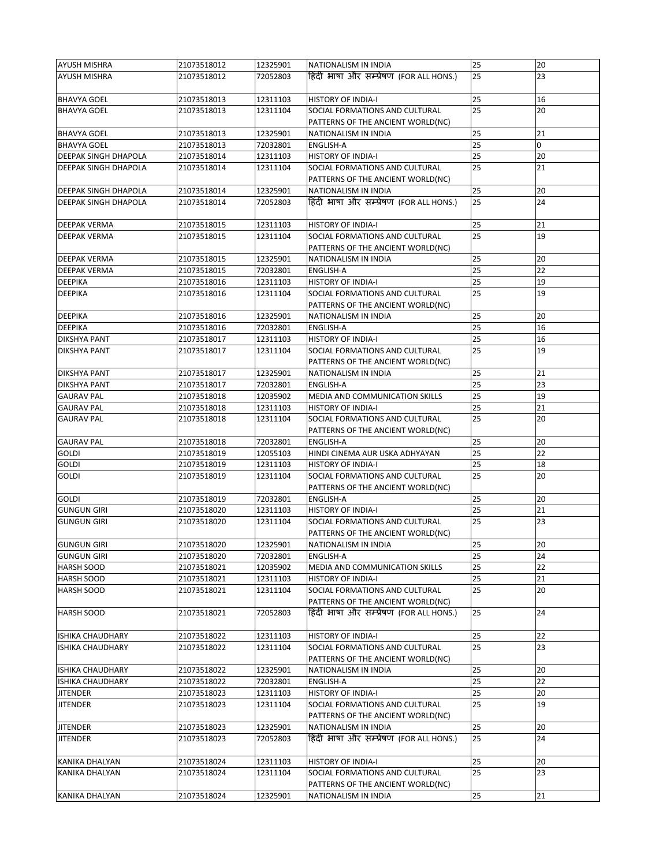| <b>AYUSH MISHRA</b>         | 21073518012 | 12325901 | NATIONALISM IN INDIA                                                | 25 | 20 |
|-----------------------------|-------------|----------|---------------------------------------------------------------------|----|----|
| <b>AYUSH MISHRA</b>         | 21073518012 | 72052803 | हिंदी भाषा और सम्प्रेषण (FOR ALL HONS.)                             | 25 | 23 |
| <b>BHAVYA GOEL</b>          | 21073518013 | 12311103 | <b>HISTORY OF INDIA-I</b>                                           | 25 | 16 |
| <b>BHAVYA GOEL</b>          | 21073518013 | 12311104 | SOCIAL FORMATIONS AND CULTURAL<br>PATTERNS OF THE ANCIENT WORLD(NC) | 25 | 20 |
| <b>BHAVYA GOEL</b>          | 21073518013 | 12325901 | NATIONALISM IN INDIA                                                | 25 | 21 |
| <b>BHAVYA GOEL</b>          | 21073518013 | 72032801 | <b>ENGLISH-A</b>                                                    | 25 | 0  |
| <b>DEEPAK SINGH DHAPOLA</b> | 21073518014 | 12311103 | <b>HISTORY OF INDIA-I</b>                                           | 25 | 20 |
| <b>DEEPAK SINGH DHAPOLA</b> | 21073518014 | 12311104 | SOCIAL FORMATIONS AND CULTURAL                                      | 25 | 21 |
|                             |             |          | PATTERNS OF THE ANCIENT WORLD(NC)                                   |    |    |
| <b>DEEPAK SINGH DHAPOLA</b> | 21073518014 | 12325901 | NATIONALISM IN INDIA                                                | 25 | 20 |
| <b>DEEPAK SINGH DHAPOLA</b> | 21073518014 | 72052803 | हिंदी भाषा और सम्प्रेषण (FOR ALL HONS.)                             | 25 | 24 |
| <b>DEEPAK VERMA</b>         | 21073518015 | 12311103 | <b>HISTORY OF INDIA-I</b>                                           | 25 | 21 |
| <b>DEEPAK VERMA</b>         | 21073518015 | 12311104 | SOCIAL FORMATIONS AND CULTURAL                                      | 25 | 19 |
|                             |             |          | PATTERNS OF THE ANCIENT WORLD(NC)                                   |    |    |
| <b>DEEPAK VERMA</b>         | 21073518015 | 12325901 | NATIONALISM IN INDIA                                                | 25 | 20 |
| <b>DEEPAK VERMA</b>         | 21073518015 | 72032801 | <b>ENGLISH-A</b>                                                    | 25 | 22 |
| <b>DEEPIKA</b>              | 21073518016 | 12311103 | <b>HISTORY OF INDIA-I</b>                                           | 25 | 19 |
| <b>DEEPIKA</b>              | 21073518016 | 12311104 | SOCIAL FORMATIONS AND CULTURAL                                      | 25 | 19 |
|                             |             |          | PATTERNS OF THE ANCIENT WORLD(NC)                                   |    |    |
| <b>DEEPIKA</b>              | 21073518016 | 12325901 | NATIONALISM IN INDIA                                                | 25 | 20 |
| <b>DEEPIKA</b>              | 21073518016 | 72032801 | <b>ENGLISH-A</b>                                                    | 25 | 16 |
| <b>DIKSHYA PANT</b>         | 21073518017 | 12311103 | <b>HISTORY OF INDIA-I</b>                                           | 25 | 16 |
| <b>DIKSHYA PANT</b>         | 21073518017 | 12311104 | SOCIAL FORMATIONS AND CULTURAL                                      | 25 | 19 |
|                             |             |          | PATTERNS OF THE ANCIENT WORLD(NC)                                   |    |    |
| <b>DIKSHYA PANT</b>         | 21073518017 | 12325901 | NATIONALISM IN INDIA                                                | 25 | 21 |
| <b>DIKSHYA PANT</b>         | 21073518017 | 72032801 | <b>ENGLISH-A</b>                                                    | 25 | 23 |
| <b>GAURAV PAL</b>           | 21073518018 | 12035902 | MEDIA AND COMMUNICATION SKILLS                                      | 25 | 19 |
| <b>GAURAV PAL</b>           | 21073518018 | 12311103 | <b>HISTORY OF INDIA-I</b>                                           | 25 | 21 |
| <b>GAURAV PAL</b>           | 21073518018 | 12311104 | SOCIAL FORMATIONS AND CULTURAL<br>PATTERNS OF THE ANCIENT WORLD(NC) | 25 | 20 |
| <b>GAURAV PAL</b>           | 21073518018 | 72032801 | <b>ENGLISH-A</b>                                                    | 25 | 20 |
| <b>GOLDI</b>                | 21073518019 | 12055103 | HINDI CINEMA AUR USKA ADHYAYAN                                      | 25 | 22 |
| <b>GOLDI</b>                | 21073518019 | 12311103 | <b>HISTORY OF INDIA-I</b>                                           | 25 | 18 |
| <b>GOLDI</b>                | 21073518019 | 12311104 | SOCIAL FORMATIONS AND CULTURAL<br>PATTERNS OF THE ANCIENT WORLD(NC) | 25 | 20 |
| <b>GOLDI</b>                | 21073518019 | 72032801 | ENGLISH-A                                                           | 25 | 20 |
| <b>GUNGUN GIRI</b>          | 21073518020 | 12311103 | <b>HISTORY OF INDIA-I</b>                                           | 25 | 21 |
| <b>GUNGUN GIRI</b>          | 21073518020 | 12311104 | SOCIAL FORMATIONS AND CULTURAL<br>PATTERNS OF THE ANCIENT WORLD(NC) | 25 | 23 |
| <b>GUNGUN GIRI</b>          | 21073518020 | 12325901 | <b>NATIONALISM IN INDIA</b>                                         | 25 | 20 |
| <b>GUNGUN GIRI</b>          | 21073518020 | 72032801 | <b>ENGLISH-A</b>                                                    | 25 | 24 |
| <b>HARSH SOOD</b>           | 21073518021 | 12035902 | MEDIA AND COMMUNICATION SKILLS                                      | 25 | 22 |
| <b>HARSH SOOD</b>           | 21073518021 | 12311103 | <b>HISTORY OF INDIA-I</b>                                           | 25 | 21 |
| <b>HARSH SOOD</b>           | 21073518021 | 12311104 | SOCIAL FORMATIONS AND CULTURAL<br>PATTERNS OF THE ANCIENT WORLD(NC) | 25 | 20 |
| <b>HARSH SOOD</b>           | 21073518021 | 72052803 | हिंदी भाषा और सम्प्रेषण (FOR ALL HONS.)                             | 25 | 24 |
| <b>ISHIKA CHAUDHARY</b>     | 21073518022 | 12311103 | <b>HISTORY OF INDIA-I</b>                                           | 25 | 22 |
| <b>ISHIKA CHAUDHARY</b>     | 21073518022 | 12311104 | SOCIAL FORMATIONS AND CULTURAL<br>PATTERNS OF THE ANCIENT WORLD(NC) | 25 | 23 |
| <b>ISHIKA CHAUDHARY</b>     | 21073518022 | 12325901 | NATIONALISM IN INDIA                                                | 25 | 20 |
| <b>ISHIKA CHAUDHARY</b>     | 21073518022 | 72032801 | <b>ENGLISH-A</b>                                                    | 25 | 22 |
| <b>JITENDER</b>             | 21073518023 | 12311103 | <b>HISTORY OF INDIA-I</b>                                           | 25 | 20 |
| <b>JITENDER</b>             | 21073518023 | 12311104 | SOCIAL FORMATIONS AND CULTURAL<br>PATTERNS OF THE ANCIENT WORLD(NC) | 25 | 19 |
| <b>JITENDER</b>             | 21073518023 | 12325901 | NATIONALISM IN INDIA                                                | 25 | 20 |
| <b>JITENDER</b>             | 21073518023 | 72052803 | हिंदी भाषा और सम्प्रेषण (FOR ALL HONS.)                             | 25 | 24 |
| KANIKA DHALYAN              | 21073518024 | 12311103 | <b>HISTORY OF INDIA-I</b>                                           | 25 | 20 |
| KANIKA DHALYAN              | 21073518024 | 12311104 | SOCIAL FORMATIONS AND CULTURAL                                      | 25 | 23 |
|                             |             |          | PATTERNS OF THE ANCIENT WORLD(NC)                                   |    |    |
| KANIKA DHALYAN              | 21073518024 | 12325901 | NATIONALISM IN INDIA                                                | 25 | 21 |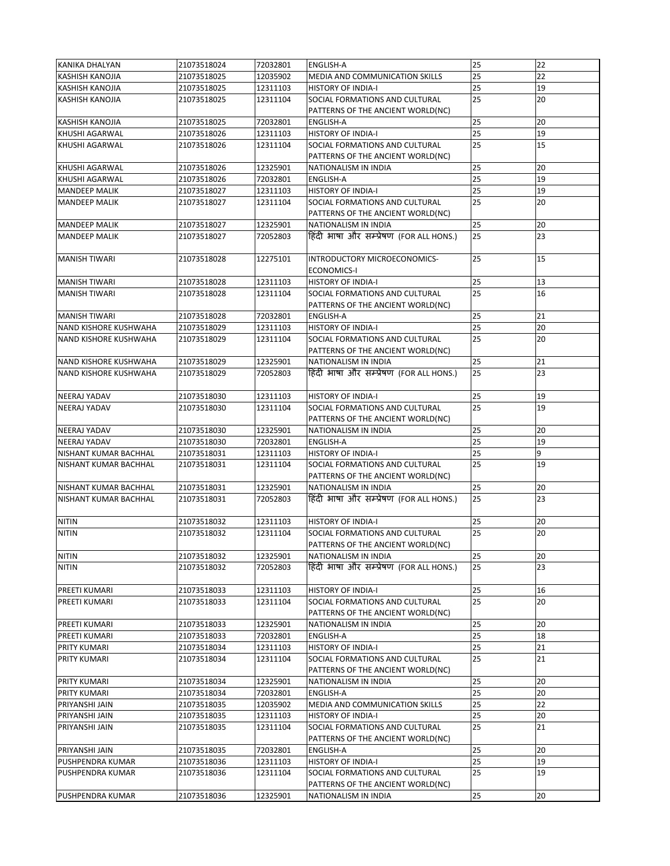| <b>KANIKA DHALYAN</b>        | 21073518024 | 72032801 | <b>ENGLISH-A</b>                                                    | 25 | 22 |
|------------------------------|-------------|----------|---------------------------------------------------------------------|----|----|
| <b>KASHISH KANOJIA</b>       | 21073518025 | 12035902 | MEDIA AND COMMUNICATION SKILLS                                      | 25 | 22 |
| <b>KASHISH KANOJIA</b>       | 21073518025 | 12311103 | <b>HISTORY OF INDIA-I</b>                                           | 25 | 19 |
| <b>KASHISH KANOJIA</b>       | 21073518025 | 12311104 | SOCIAL FORMATIONS AND CULTURAL                                      | 25 | 20 |
|                              |             |          | PATTERNS OF THE ANCIENT WORLD(NC)                                   |    |    |
| <b>KASHISH KANOJIA</b>       | 21073518025 | 72032801 | <b>ENGLISH-A</b>                                                    | 25 | 20 |
| <b>KHUSHI AGARWAL</b>        | 21073518026 | 12311103 | <b>HISTORY OF INDIA-I</b>                                           | 25 | 19 |
| <b>KHUSHI AGARWAL</b>        | 21073518026 | 12311104 | SOCIAL FORMATIONS AND CULTURAL                                      | 25 | 15 |
|                              |             |          | PATTERNS OF THE ANCIENT WORLD(NC)                                   |    |    |
| <b>KHUSHI AGARWAL</b>        | 21073518026 | 12325901 | NATIONALISM IN INDIA                                                | 25 | 20 |
| KHUSHI AGARWAL               | 21073518026 | 72032801 | <b>ENGLISH-A</b>                                                    | 25 | 19 |
| <b>MANDEEP MALIK</b>         | 21073518027 | 12311103 | <b>HISTORY OF INDIA-I</b>                                           | 25 | 19 |
|                              |             |          |                                                                     |    |    |
| <b>MANDEEP MALIK</b>         | 21073518027 | 12311104 | SOCIAL FORMATIONS AND CULTURAL<br>PATTERNS OF THE ANCIENT WORLD(NC) | 25 | 20 |
| <b>MANDEEP MALIK</b>         | 21073518027 | 12325901 | NATIONALISM IN INDIA                                                | 25 | 20 |
| <b>MANDEEP MALIK</b>         | 21073518027 | 72052803 | हिंदी भाषा और सम्प्रेषण (FOR ALL HONS.)                             | 25 | 23 |
| <b>MANISH TIWARI</b>         | 21073518028 | 12275101 | INTRODUCTORY MICROECONOMICS-                                        | 25 | 15 |
|                              |             |          | <b>ECONOMICS-I</b>                                                  |    |    |
| <b>MANISH TIWARI</b>         | 21073518028 | 12311103 | <b>HISTORY OF INDIA-I</b>                                           | 25 | 13 |
| <b>MANISH TIWARI</b>         | 21073518028 | 12311104 | SOCIAL FORMATIONS AND CULTURAL                                      | 25 | 16 |
|                              |             |          | PATTERNS OF THE ANCIENT WORLD(NC)                                   |    |    |
| <b>MANISH TIWARI</b>         | 21073518028 | 72032801 | <b>ENGLISH-A</b>                                                    | 25 | 21 |
| <b>NAND KISHORE KUSHWAHA</b> | 21073518029 | 12311103 | <b>HISTORY OF INDIA-I</b>                                           | 25 | 20 |
| <b>NAND KISHORE KUSHWAHA</b> | 21073518029 | 12311104 | SOCIAL FORMATIONS AND CULTURAL                                      | 25 | 20 |
|                              |             |          | PATTERNS OF THE ANCIENT WORLD(NC)                                   |    |    |
| NAND KISHORE KUSHWAHA        | 21073518029 | 12325901 | NATIONALISM IN INDIA                                                | 25 | 21 |
| <b>NAND KISHORE KUSHWAHA</b> | 21073518029 | 72052803 | हिंदी भाषा और सम्प्रेषण (FOR ALL HONS.)                             | 25 | 23 |
|                              |             |          |                                                                     |    |    |
| <b>NEERAJ YADAV</b>          | 21073518030 | 12311103 | <b>HISTORY OF INDIA-I</b>                                           | 25 | 19 |
| <b>NEERAJ YADAV</b>          | 21073518030 | 12311104 | SOCIAL FORMATIONS AND CULTURAL                                      | 25 | 19 |
|                              |             |          | PATTERNS OF THE ANCIENT WORLD(NC)                                   |    |    |
| <b>NEERAJ YADAV</b>          | 21073518030 | 12325901 | NATIONALISM IN INDIA                                                | 25 | 20 |
| <b>NEERAJ YADAV</b>          | 21073518030 | 72032801 | <b>ENGLISH-A</b>                                                    | 25 | 19 |
| NISHANT KUMAR BACHHAL        | 21073518031 | 12311103 | <b>HISTORY OF INDIA-I</b>                                           | 25 | 9  |
| <b>NISHANT KUMAR BACHHAL</b> | 21073518031 | 12311104 | SOCIAL FORMATIONS AND CULTURAL                                      | 25 | 19 |
|                              |             |          | PATTERNS OF THE ANCIENT WORLD(NC)                                   |    |    |
| <b>NISHANT KUMAR BACHHAL</b> | 21073518031 | 12325901 | NATIONALISM IN INDIA                                                | 25 | 20 |
| NISHANT KUMAR BACHHAL        | 21073518031 | 72052803 | हिंदी भाषा और सम्प्रेषण (FOR ALL HONS.)                             | 25 | 23 |
|                              |             |          |                                                                     |    |    |
| <b>NITIN</b>                 | 21073518032 | 12311103 | <b>HISTORY OF INDIA-I</b>                                           | 25 | 20 |
| <b>NITIN</b>                 | 21073518032 | 12311104 | SOCIAL FORMATIONS AND CULTURAL                                      | 25 | 20 |
|                              |             |          | PATTERNS OF THE ANCIENT WORLD(NC)                                   |    |    |
| <b>NITIN</b>                 | 21073518032 | 12325901 | NATIONALISM IN INDIA                                                | 25 | 20 |
| <b>NITIN</b>                 | 21073518032 | 72052803 | हिंदी भाषा और सम्प्रेषण (FOR ALL HONS.)                             | 25 | 23 |
|                              |             |          |                                                                     |    |    |
| PREETI KUMARI                | 21073518033 | 12311103 | <b>HISTORY OF INDIA-I</b>                                           | 25 | 16 |
| <b>PREETI KUMARI</b>         | 21073518033 | 12311104 | SOCIAL FORMATIONS AND CULTURAL                                      | 25 | 20 |
|                              |             |          | PATTERNS OF THE ANCIENT WORLD(NC)                                   |    |    |
| <b>PREETI KUMARI</b>         | 21073518033 | 12325901 | NATIONALISM IN INDIA                                                | 25 | 20 |
| <b>PREETI KUMARI</b>         | 21073518033 | 72032801 | <b>ENGLISH-A</b>                                                    | 25 | 18 |
| <b>PRITY KUMARI</b>          | 21073518034 | 12311103 | <b>HISTORY OF INDIA-I</b>                                           | 25 | 21 |
|                              | 21073518034 | 12311104 | SOCIAL FORMATIONS AND CULTURAL                                      | 25 | 21 |
| <b>PRITY KUMARI</b>          |             |          | PATTERNS OF THE ANCIENT WORLD(NC)                                   |    |    |
| <b>PRITY KUMARI</b>          | 21073518034 | 12325901 | NATIONALISM IN INDIA                                                | 25 | 20 |
| <b>PRITY KUMARI</b>          | 21073518034 | 72032801 | <b>ENGLISH-A</b>                                                    | 25 | 20 |
| PRIYANSHI JAIN               | 21073518035 | 12035902 | MEDIA AND COMMUNICATION SKILLS                                      | 25 | 22 |
|                              |             |          |                                                                     |    |    |
| PRIYANSHI JAIN               | 21073518035 | 12311103 | <b>HISTORY OF INDIA-I</b>                                           | 25 | 20 |
| PRIYANSHI JAIN               | 21073518035 | 12311104 | SOCIAL FORMATIONS AND CULTURAL                                      | 25 | 21 |
|                              |             |          | PATTERNS OF THE ANCIENT WORLD(NC)                                   |    |    |
| PRIYANSHI JAIN               | 21073518035 | 72032801 | <b>ENGLISH-A</b>                                                    | 25 | 20 |
| <b>PUSHPENDRA KUMAR</b>      | 21073518036 | 12311103 | <b>HISTORY OF INDIA-I</b>                                           | 25 | 19 |
| <b>PUSHPENDRA KUMAR</b>      | 21073518036 | 12311104 | SOCIAL FORMATIONS AND CULTURAL                                      | 25 | 19 |
|                              |             |          | PATTERNS OF THE ANCIENT WORLD(NC)                                   |    |    |
| <b>PUSHPENDRA KUMAR</b>      | 21073518036 | 12325901 | NATIONALISM IN INDIA                                                | 25 | 20 |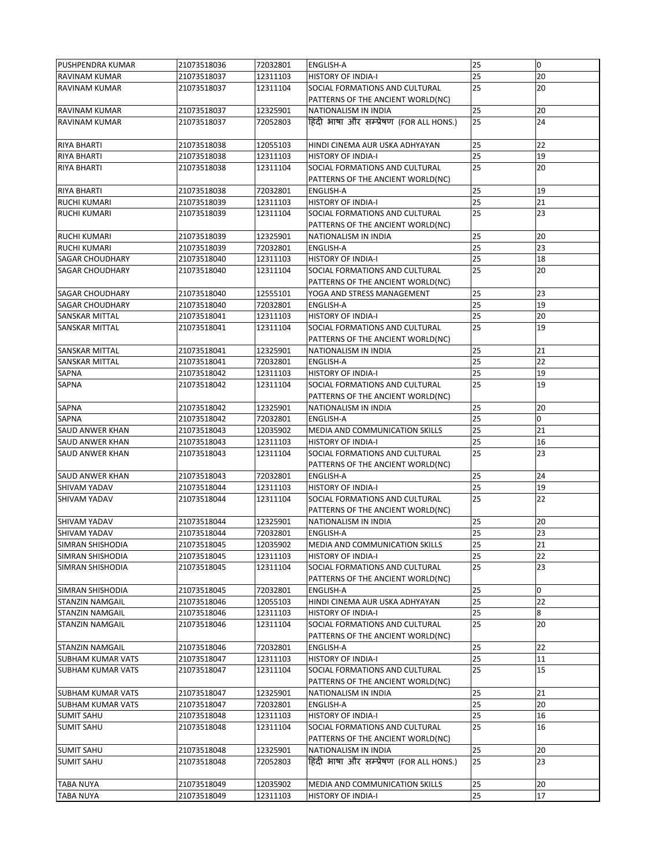| PUSHPENDRA KUMAR         | 21073518036                | 72032801             | <b>ENGLISH-A</b>                                                    | 25       | $\mathbf 0$ |
|--------------------------|----------------------------|----------------------|---------------------------------------------------------------------|----------|-------------|
| <b>IRAVINAM KUMAR</b>    | 21073518037                | 12311103             | <b>HISTORY OF INDIA-I</b>                                           | 25       | 20          |
| IRAVINAM KUMAR           | 21073518037                | 12311104             | SOCIAL FORMATIONS AND CULTURAL<br>PATTERNS OF THE ANCIENT WORLD(NC) | 25       | 20          |
| <b>RAVINAM KUMAR</b>     | 21073518037                | 12325901             | NATIONALISM IN INDIA                                                | 25       | 20          |
| <b>RAVINAM KUMAR</b>     | 21073518037                | 72052803             | हिंदी भाषा और सम्प्रेषण (FOR ALL HONS.)                             | 25       | 24          |
| <b>RIYA BHARTI</b>       | 21073518038                | 12055103             | HINDI CINEMA AUR USKA ADHYAYAN                                      | 25       | 22          |
| <b>RIYA BHARTI</b>       | 21073518038                | 12311103             | <b>HISTORY OF INDIA-I</b>                                           | 25       | 19          |
| <b>RIYA BHARTI</b>       | 21073518038                | 12311104             | SOCIAL FORMATIONS AND CULTURAL                                      | 25       | 20          |
|                          |                            |                      | PATTERNS OF THE ANCIENT WORLD(NC)                                   |          |             |
| <b>RIYA BHARTI</b>       | 21073518038                | 72032801             | <b>ENGLISH-A</b>                                                    | 25       | 19          |
| <b>RUCHI KUMARI</b>      | 21073518039                | 12311103             | <b>HISTORY OF INDIA-I</b>                                           | 25       | 21          |
| <b>RUCHI KUMARI</b>      | 21073518039                | 12311104             | SOCIAL FORMATIONS AND CULTURAL<br>PATTERNS OF THE ANCIENT WORLD(NC) | 25       | 23          |
| RUCHI KUMARI             | 21073518039                | 12325901             | NATIONALISM IN INDIA                                                | 25       | 20          |
| <b>RUCHI KUMARI</b>      | 21073518039                | 72032801             | <b>ENGLISH-A</b>                                                    | 25       | 23          |
| <b>SAGAR CHOUDHARY</b>   | 21073518040                | 12311103             | <b>HISTORY OF INDIA-I</b>                                           | 25       | 18          |
| <b>SAGAR CHOUDHARY</b>   | 21073518040                | 12311104             | SOCIAL FORMATIONS AND CULTURAL                                      | 25       | 20          |
|                          |                            |                      | PATTERNS OF THE ANCIENT WORLD(NC)                                   |          |             |
| <b>SAGAR CHOUDHARY</b>   | 21073518040                | 12555101             | YOGA AND STRESS MANAGEMENT                                          | 25       | 23          |
| <b>SAGAR CHOUDHARY</b>   | 21073518040                | 72032801             | <b>ENGLISH-A</b>                                                    | 25       | 19          |
| <b>SANSKAR MITTAL</b>    | 21073518041                | 12311103             | <b>HISTORY OF INDIA-I</b>                                           | 25       | 20          |
| <b>SANSKAR MITTAL</b>    | 21073518041                | 12311104             | SOCIAL FORMATIONS AND CULTURAL                                      | 25       | 19          |
|                          |                            |                      | PATTERNS OF THE ANCIENT WORLD(NC)                                   |          |             |
| <b>SANSKAR MITTAL</b>    | 21073518041                | 12325901             | NATIONALISM IN INDIA                                                | 25       | 21          |
| <b>SANSKAR MITTAL</b>    | 21073518041                | 72032801             | <b>ENGLISH-A</b>                                                    | 25       | 22          |
| <b>SAPNA</b>             | 21073518042                | 12311103             | <b>HISTORY OF INDIA-I</b>                                           | 25       | 19          |
| SAPNA                    | 21073518042                | 12311104             | SOCIAL FORMATIONS AND CULTURAL                                      | 25       | 19          |
|                          |                            |                      | PATTERNS OF THE ANCIENT WORLD(NC)                                   |          |             |
| <b>SAPNA</b>             | 21073518042                | 12325901             | NATIONALISM IN INDIA                                                | 25       | 20          |
| <b>SAPNA</b>             | 21073518042                | 72032801             | <b>ENGLISH-A</b>                                                    | 25       | 0           |
| <b>SAUD ANWER KHAN</b>   | 21073518043                | 12035902             | MEDIA AND COMMUNICATION SKILLS                                      | 25       | 21          |
| <b>SAUD ANWER KHAN</b>   | 21073518043                | 12311103             | <b>HISTORY OF INDIA-I</b>                                           | 25       | 16          |
| <b>SAUD ANWER KHAN</b>   | 21073518043                | 12311104             | SOCIAL FORMATIONS AND CULTURAL<br>PATTERNS OF THE ANCIENT WORLD(NC) | 25       | 23          |
| <b>SAUD ANWER KHAN</b>   | 21073518043                | 72032801             | <b>ENGLISH-A</b>                                                    | 25       | 24          |
| <b>SHIVAM YADAV</b>      | 21073518044                | 12311103             | <b>HISTORY OF INDIA-I</b>                                           | 25       | 19          |
| <b>SHIVAM YADAV</b>      | 21073518044                | 12311104             | SOCIAL FORMATIONS AND CULTURAL                                      | 25       | 22          |
|                          |                            |                      | PATTERNS OF THE ANCIENT WORLD(NC)                                   |          |             |
| <b>SHIVAM YADAV</b>      | 21073518044                | 12325901             | NATIONALISM IN INDIA                                                | 25       | 20          |
| <b>SHIVAM YADAV</b>      | 21073518044                | 72032801             | <b>ENGLISH-A</b>                                                    | 25       | 23          |
| <b>SIMRAN SHISHODIA</b>  | 21073518045                | 12035902             | MEDIA AND COMMUNICATION SKILLS                                      | 25       | 21          |
| <b>SIMRAN SHISHODIA</b>  | 21073518045                | 12311103             | <b>HISTORY OF INDIA-I</b>                                           | 25       | 22          |
| <b>SIMRAN SHISHODIA</b>  | 21073518045                | 12311104             | SOCIAL FORMATIONS AND CULTURAL                                      | 25       | 23          |
| <b>SIMRAN SHISHODIA</b>  |                            |                      | PATTERNS OF THE ANCIENT WORLD(NC)                                   |          |             |
| <b>STANZIN NAMGAIL</b>   | 21073518045<br>21073518046 | 72032801<br>12055103 | <b>ENGLISH-A</b><br>HINDI CINEMA AUR USKA ADHYAYAN                  | 25<br>25 | 0<br>22     |
| <b>STANZIN NAMGAIL</b>   | 21073518046                | 12311103             | <b>HISTORY OF INDIA-I</b>                                           | 25       | 8           |
| <b>STANZIN NAMGAIL</b>   | 21073518046                | 12311104             | SOCIAL FORMATIONS AND CULTURAL                                      | 25       | 20          |
|                          |                            |                      | PATTERNS OF THE ANCIENT WORLD(NC)                                   |          |             |
| <b>STANZIN NAMGAIL</b>   | 21073518046                | 72032801             | <b>ENGLISH-A</b>                                                    | 25       | 22          |
| <b>SUBHAM KUMAR VATS</b> | 21073518047                | 12311103             | <b>HISTORY OF INDIA-I</b>                                           | 25       | 11          |
| <b>SUBHAM KUMAR VATS</b> | 21073518047                | 12311104             | SOCIAL FORMATIONS AND CULTURAL                                      | 25       | 15          |
|                          |                            |                      | PATTERNS OF THE ANCIENT WORLD(NC)                                   |          |             |
| <b>SUBHAM KUMAR VATS</b> | 21073518047                | 12325901             | NATIONALISM IN INDIA                                                | 25       | 21          |
| <b>SUBHAM KUMAR VATS</b> | 21073518047                | 72032801             | <b>ENGLISH-A</b>                                                    | 25       | 20          |
| <b>SUMIT SAHU</b>        | 21073518048                | 12311103             | <b>HISTORY OF INDIA-I</b>                                           | 25       | 16          |
| <b>SUMIT SAHU</b>        | 21073518048                | 12311104             | SOCIAL FORMATIONS AND CULTURAL<br>PATTERNS OF THE ANCIENT WORLD(NC) | 25       | 16          |
| <b>SUMIT SAHU</b>        | 21073518048                | 12325901             | NATIONALISM IN INDIA                                                | 25       | 20          |
| <b>SUMIT SAHU</b>        | 21073518048                | 72052803             | हिंदी भाषा और सम्प्रेषण (FOR ALL HONS.)                             | 25       | 23          |
| <b>TABA NUYA</b>         | 21073518049                | 12035902             | MEDIA AND COMMUNICATION SKILLS                                      | 25       | 20          |
| <b>TABA NUYA</b>         | 21073518049                | 12311103             | <b>HISTORY OF INDIA-I</b>                                           | 25       | 17          |
|                          |                            |                      |                                                                     |          |             |